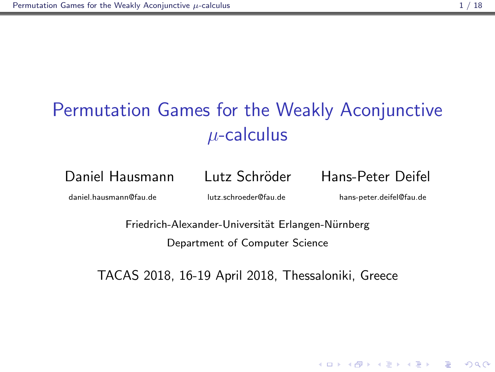# <span id="page-0-0"></span>Games for the Weakly A<br>  $\mu$ -calculus<br>
nn Lutz Schröder Hans-<br>
Iutz.schroeder@fau.de hans<br>
hh-Alexander-Universität Erlangen-Nürnb<br>
Department of Computer Science Permutation Games for the Weakly Aconjunctive  $\mu$ -calculus

Daniel Hausmann Lutz Schröder Hans-Peter Deifel

daniel.hausmann@fau.de lutz.schroeder@fau.de hans-peter.deifel@fau.de

**KORK STRAIN A BAR SHOP** 

Friedrich-Alexander-Universität Erlangen-Nürnberg Department of Computer Science

TACAS 2018, 16-19 April 2018, Thessaloniki, Greece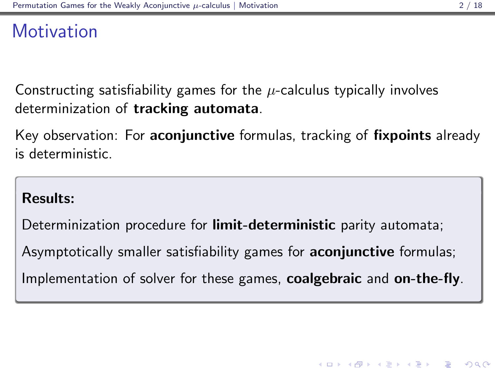## <span id="page-1-0"></span>**Motivation**

Constructing satisfiability games for the  $\mu$ -calculus typically involves determinization of tracking automata.

Key observation: For **aconjunctive** formulas, tracking of **fixpoints** already is deterministic.

#### Results:

Determinization procedure for **limit-deterministic** parity automata;

Asymptotically smaller satisfiability games for **aconjunctive** formulas;

Implementation of solver for these games, coalgebraic and on-the-fly.

**KORKAR KERKER EL VOLO**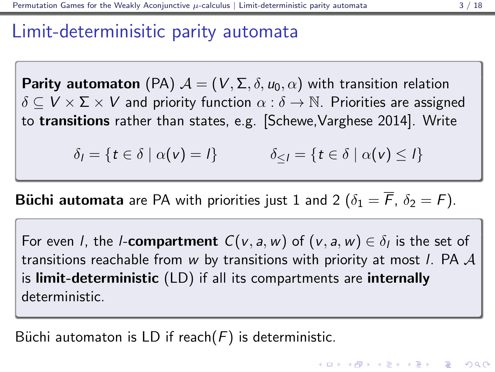## <span id="page-2-0"></span>Limit-determinisitic parity automata

**Parity automaton** (PA)  $\mathcal{A} = (V, \Sigma, \delta, u_0, \alpha)$  with transition relation  $\delta \subset V \times \Sigma \times V$  and priority function  $\alpha : \delta \to \mathbb{N}$ . Priorities are assigned to transitions rather than states, e.g. [Schewe,Varghese 2014]. Write

 $\delta_l = \{t \in \delta \mid \alpha(v) = l\}$   $\delta_{\leq l} = \{t \in \delta \mid \alpha(v) \leq l\}$ 

**Büchi automata** are PA with priorities just 1 and 2 ( $\delta_1 = \overline{F}$ ,  $\delta_2 = F$ ).

For even *l*, the *l*-**compartment**  $C(v, a, w)$  of  $(v, a, w) \in \delta_l$  is the set of transitions reachable from w by transitions with priority at most *l*. PA  $\mathcal A$ is limit-deterministic (LD) if all its compartments are internally deterministic.

Büchi automaton is LD if reach $(F)$  is deterministic.

**KORKAR KERKER EL VOLO**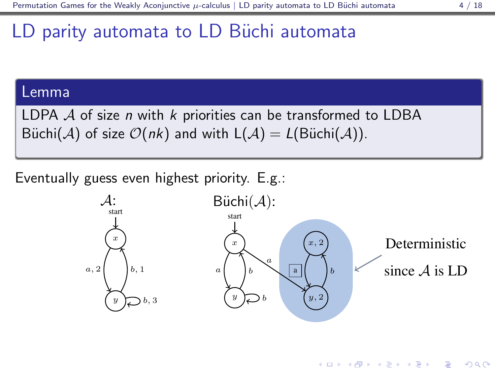K ロ ▶ K @ ▶ K 할 ▶ K 할 ▶ 이 할 → 9 Q @

# <span id="page-3-0"></span>LD parity automata to LD Büchi automata

#### Lemma

LDPA  $A$  of size  $n$  with  $k$  priorities can be transformed to LDBA Büchi(A) of size  $\mathcal{O}(nk)$  and with  $L(\mathcal{A}) = L(\text{Büchi}(\mathcal{A}))$ .

Eventually guess even highest priority. E.g.:

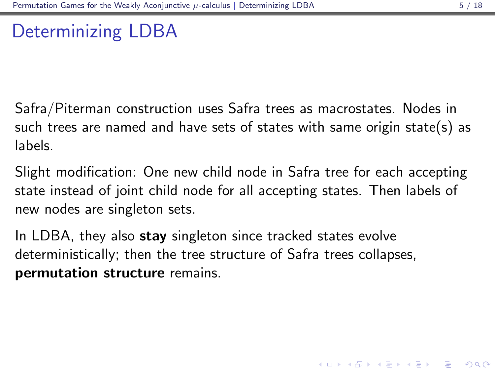4 D > 4 P + 4 B + 4 B + B + 9 Q O

## <span id="page-4-0"></span>Determinizing LDBA

Safra/Piterman construction uses Safra trees as macrostates. Nodes in such trees are named and have sets of states with same origin state(s) as labels.

Slight modification: One new child node in Safra tree for each accepting state instead of joint child node for all accepting states. Then labels of new nodes are singleton sets.

In LDBA, they also stay singleton since tracked states evolve deterministically; then the tree structure of Safra trees collapses, permutation structure remains.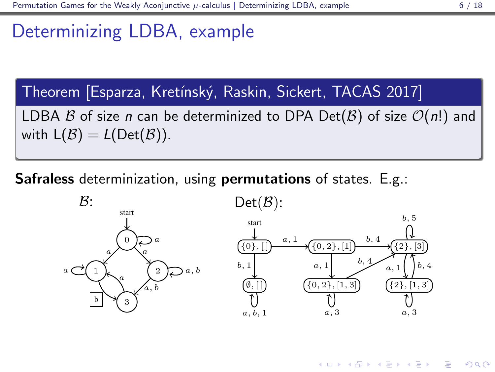<span id="page-5-0"></span>Theorem [Esparza, Kretínský, Raskin, Sicket, TACAS 2017]  
LDBA *B* of size *n* can be determined to DPA Det(*B*) of size 
$$
O(n!)
$$
 and with L(*B*) = L(Det(*B*)).

Safraless determinization, using permutations of states. E.g.:





K ロ > K @ > K 할 > K 할 > 1 할 : ⊙ Q Q^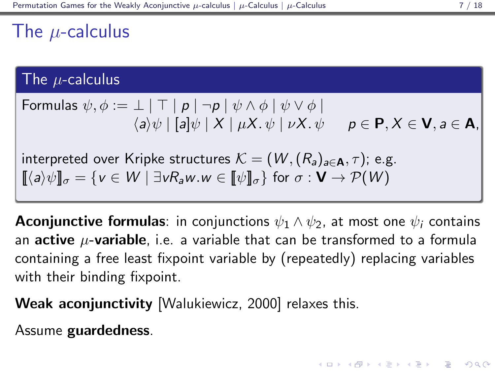## <span id="page-6-0"></span>The  $\mu$ -calculus

#### The  $\mu$ -calculus

Formulas 
$$
\psi, \phi := \bot \mid \top \mid p \mid \neg p \mid \psi \land \phi \mid \psi \lor \phi \mid
$$
  
\n $\langle a \rangle \psi \mid [a] \psi \mid X \mid \mu X. \psi \mid \nu X. \psi \qquad p \in \mathbf{P}, X \in \mathbf{V}, a \in \mathbf{A},$ 

interpreted over Kripke structures  $\mathcal{K} = (W, (R_a)_{a \in \mathbf{A}}, \tau)$ ; e.g.  $[\langle a \rangle \psi]_{\sigma} = \{v \in W \mid \exists v R_a w. w \in [\psi]_{\sigma}\}\$ for  $\sigma : \mathbf{V} \to \mathcal{P}(W)$ 

**Aconjunctive formulas**: in conjunctions  $\psi_1 \wedge \psi_2$ , at most one  $\psi_i$  contains an **active**  $\mu$ -**variable**, i.e. a variable that can be transformed to a formula containing a free least fixpoint variable by (repeatedly) replacing variables with their binding fixpoint.

Weak aconjunctivity [Walukiewicz, 2000] relaxes this.

Assume guardedness.

**KORKAR KERKER EL VOLO**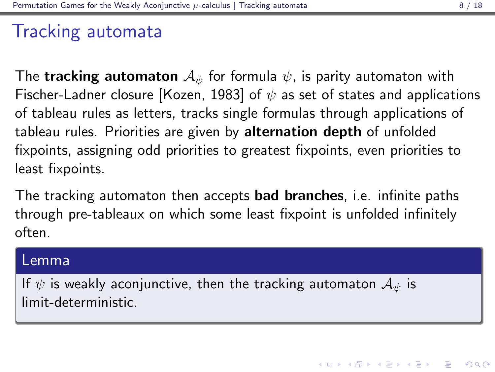## <span id="page-7-0"></span>Tracking automata

The **tracking automaton**  $A_{\psi}$  for formula  $\psi$ , is parity automaton with Fischer-Ladner closure [Kozen, 1983] of  $\psi$  as set of states and applications of tableau rules as letters, tracks single formulas through applications of tableau rules. Priorities are given by alternation depth of unfolded fixpoints, assigning odd priorities to greatest fixpoints, even priorities to least fixpoints.

The tracking automaton then accepts **bad branches**, i.e. infinite paths through pre-tableaux on which some least fixpoint is unfolded infinitely often.

#### Lemma

If  $\psi$  is weakly aconjunctive, then the tracking automaton  $\mathcal{A}_{\psi}$  is limit-deterministic.

4 D > 4 P + 4 B + 4 B + B + 9 Q O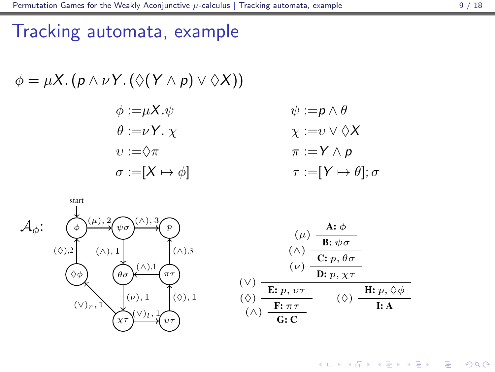<span id="page-8-0"></span>
$$
\phi = \mu X. (p \land \nu Y. (\Diamond(Y \land p) \lor \Diamond X))
$$
  
\n
$$
\phi := \mu X. \psi \qquad \psi := p \land \theta
$$
  
\n
$$
\theta := \nu Y. \chi \qquad \chi := \nu \lor \Diamond X
$$
  
\n
$$
\nu := \Diamond \pi \qquad \pi := Y \land p
$$
  
\n
$$
\sigma := [X \mapsto \phi] \qquad \tau := [Y \mapsto \theta]; \sigma
$$



 $4$  ロ )  $4$   $\overline{r}$  )  $4$   $\overline{z}$  )  $4$   $\overline{z}$  ) È  $2Q$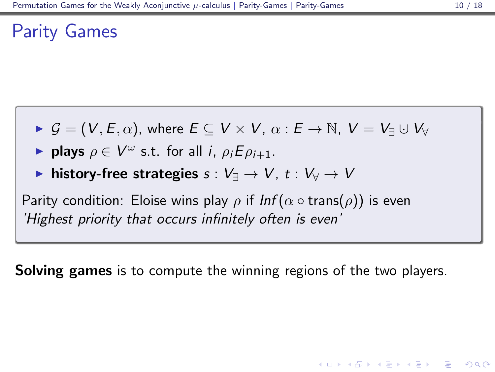## <span id="page-9-0"></span>Parity Games

- $\triangleright$   $\mathcal{G} = (V, E, \alpha)$ , where  $E \subseteq V \times V$ ,  $\alpha : E \rightarrow \mathbb{N}$ ,  $V = V_{\exists} \cup V_{\forall}$
- **plays**  $\rho \in V^{\omega}$  s.t. for all *i*,  $\rho_i E \rho_{i+1}$ .
- **► history-free strategies**  $s : V_1 \to V$ ,  $t : V_2 \to V$

Parity condition: Eloise wins play  $\rho$  if  $Inf(\alpha \circ \text{trans}(\rho))$  is even 'Highest priority that occurs infinitely often is even'

**Solving games** is to compute the winning regions of the two players.

**KORK ERKER ADE YOUR**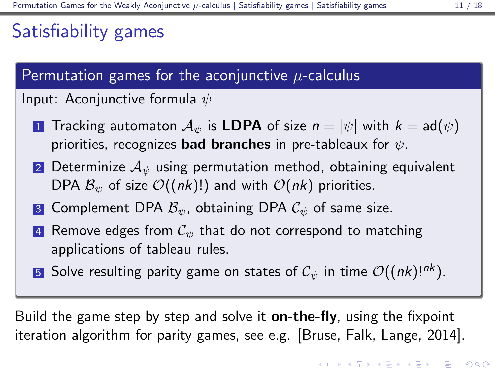## <span id="page-10-0"></span>Satisfiability games

## Permutation games for the aconjunctive  $\mu$ -calculus

#### Input: Aconjunctive formula  $\psi$

- **1** Tracking automaton  $\mathcal{A}_{\psi}$  is LDPA of size  $n = |\psi|$  with  $k = ad(\psi)$ priorities, recognizes **bad branches** in pre-tableaux for  $\psi$ .
- 2 Determinize  $A_{\psi}$  using permutation method, obtaining equivalent DPA  $\mathcal{B}_{\psi}$  of size  $\mathcal{O}((nk)!)$  and with  $\mathcal{O}(nk)$  priorities.
- 3 Complement DPA  $\mathcal{B}_{\psi}$ , obtaining DPA  $\mathcal{C}_{\psi}$  of same size.
- 4 Remove edges from  $\mathcal{C}_{\psi}$  that do not correspond to matching applications of tableau rules.
- 5 Solve resulting parity game on states of  $C_{\psi}$  in time  $\mathcal{O}((nk)!^{nk})$ .

Build the game step by step and solve it **on-the-fly**, using the fixpoint iteration algorithm for parity games, see e.g. [Bruse, Falk, Lange, 2014].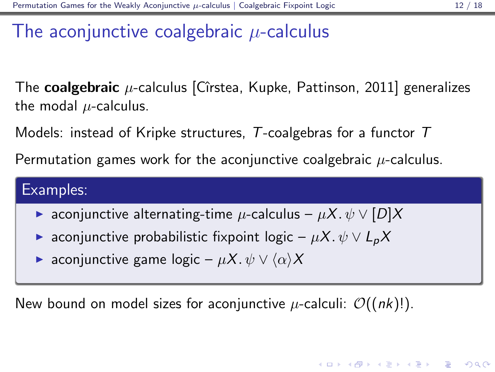**K ロ ▶ K @ ▶ K 할 X X 할 X → 할 X → 9 Q Q ^** 

## <span id="page-11-0"></span>The aconjunctive coalgebraic  $\mu$ -calculus

The **coalgebraic**  $\mu$ -calculus [Cîrstea, Kupke, Pattinson, 2011] generalizes the modal  $\mu$ -calculus.

Models: instead of Kripke structures,  $T$ -coalgebras for a functor  $T$ 

Permutation games work for the aconjunctive coalgebraic  $\mu$ -calculus.

#### Examples:

- ► aconjunctive alternating-time  $\mu$ -calculus  $\mu X.\psi \vee [D]X$
- $\triangleright$  aconjunctive probabilistic fixpoint logic  $\mu X.$   $\psi \vee L_{p}X$
- $\triangleright$  aconjunctive game logic  $\mu X.\psi \vee \langle \alpha \rangle X$

New bound on model sizes for aconjunctive  $\mu$ -calculi:  $\mathcal{O}((nk)!)$ .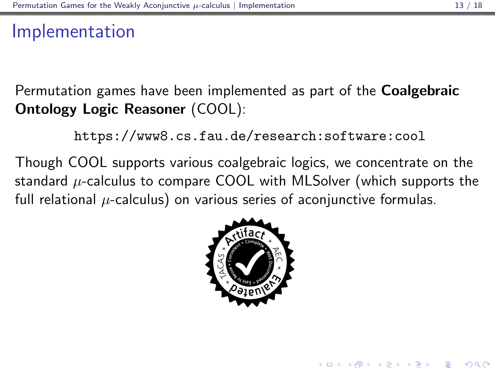## <span id="page-12-0"></span>Implementation

Permutation games have been implemented as part of the Coalgebraic Ontology Logic Reasoner (COOL):

<https://www8.cs.fau.de/research:software:cool>

Though COOL supports various coalgebraic logics, we concentrate on the standard  $\mu$ -calculus to compare COOL with MLSolver (which supports the full relational  $\mu$ -calculus) on various series of aconjunctive formulas.



**KORK ERKER ADE YOUR**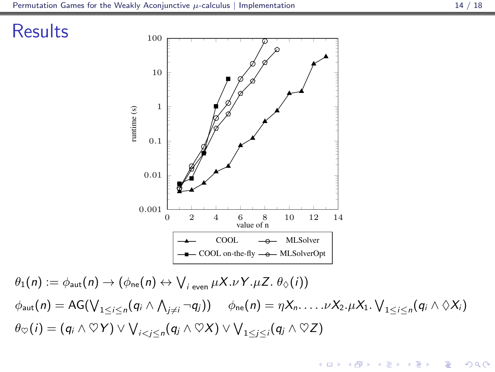**KORK STRAIN A BAR SHOP** 





 $\theta_1(n) := \phi_{\mathsf{aut}}(n) \rightarrow (\phi_{\mathsf{ne}}(n) \leftrightarrow \bigvee_{i \text{ even}} \mu X. \nu Y. \mu Z. \theta_{\Diamond}(i))$  $\phi_{\text{aut}}(n) = \text{AG}(\bigvee_{1 \leq i \leq n} (q_i \wedge \bigwedge_{j \neq i} \neg q_j)) \quad \phi_{\text{ne}}(n) = \eta X_n. \dots. \nu X_2. \mu X_1. \bigvee_{1 \leq i \leq n} (q_i \wedge \Diamond X_i)$  $\theta_{\heartsuit}(i) = (q_i \land \heartsuit Y) \lor \bigvee_{i < j \leq n} (q_j \land \heartsuit X) \lor \bigvee_{1 \leq j \leq i} (q_j \land \heartsuit Z)$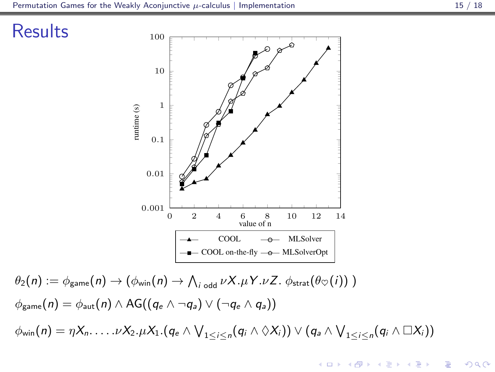



 $\theta_2(n) := \phi_{\mathsf{game}}(n) \rightarrow (\phi_{\mathsf{win}}(n) \rightarrow \bigwedge_{i \text{ odd}} \nu X.\mu Y.\nu Z. \ \phi_{\mathsf{strat}}(\theta \infty(i))\ )$  $\phi_{\text{game}}(n) = \phi_{\text{aut}}(n) \wedge \text{AG}((q_e \wedge \neg q_a) \vee (\neg q_e \wedge q_a))$  $\phi_{\sf win}(n) = \eta X_n. \dots . \nu X_2. \mu X_1.(q_e \wedge \bigvee_{1 \leq i \leq n} (q_i \wedge \Diamond X_i)) \vee (q_a \wedge \bigvee_{1 \leq i \leq n} (q_i \wedge \Box X_i))$ 

 $\left\{ \begin{array}{ccc} \pm & \pm & \pm \end{array} \right.$ 

 $\Rightarrow$ 

 $2990$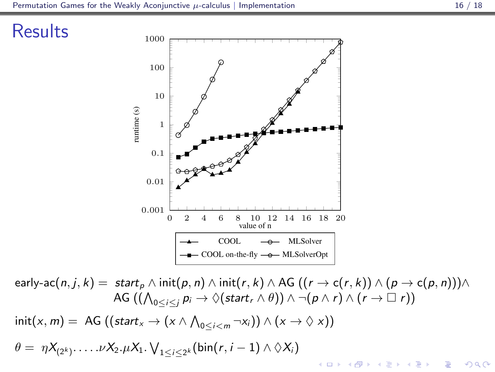



early-ac $(n, j, k) =$  start $_p \wedge \text{init}(p, n) \wedge \text{init}(r, k) \wedge \text{AG } ((r \rightarrow c(r, k)) \wedge (p \rightarrow c(p, n))) \wedge$ AG  $((\bigwedge_{0\leq i\leq j}p_i\rightarrow\Diamond(\mathsf{start}_r\wedge\theta))\wedge\neg(p\wedge r)\wedge(r\rightarrow\Box~r))$  $\text{init}(x, m) = \text{AG } ((\text{start}_x \rightarrow (x \land \bigwedge_{0 \leq i < m} \neg x_i)) \land (x \rightarrow \Diamond x))$  $\theta = \eta X_{(2^k)}$ .... $\nu X_2.\mu X_1.\bigvee_{1 \leq i \leq 2^k} (\text{bin}(r, i-1) \wedge \lozenge X_i)$ **KORK ERKER ADE YOUR**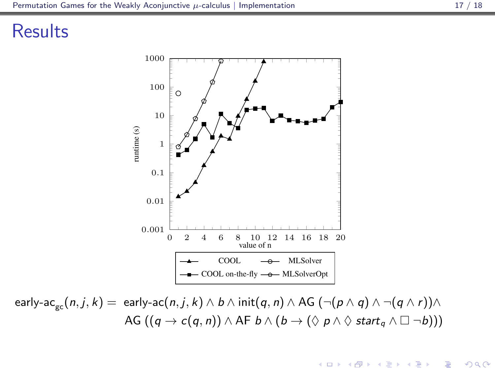### **Results**



early-ac<sub>gc</sub> $(n, j, k) =$ early-ac $(n, j, k) \wedge b \wedge \text{init}(q, n) \wedge AG \cdot (\neg(p \wedge q) \wedge \neg(q \wedge r)) \wedge$ AG  $((q \rightarrow c(q, n)) \land AF b \land (b \rightarrow (\Diamond p \land \Diamond start_q \land \Box \neg b)))$ 

 $\left\{ \begin{array}{ccc} \pm & \pm & \pm \end{array} \right.$ 

 $\Rightarrow$ 

 $2990$